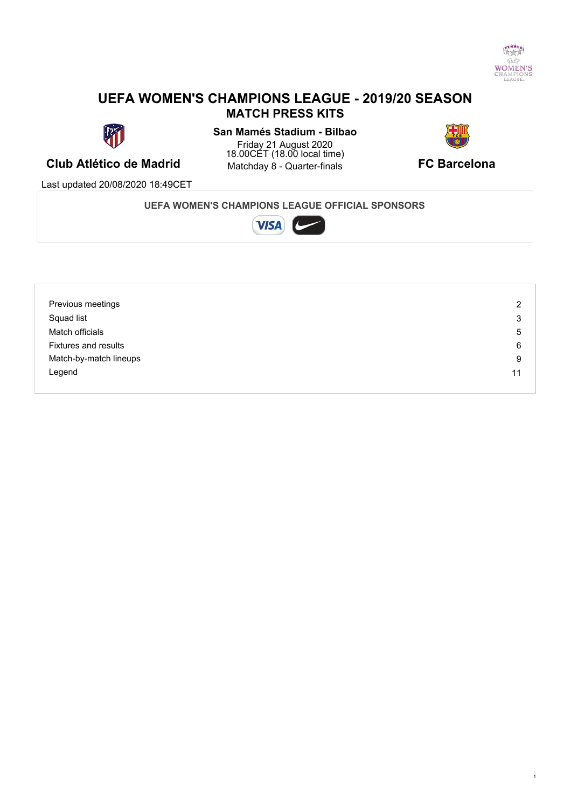

#### **UEFA WOMEN'S CHAMPIONS LEAGUE - 2019/20 SEASON MATCH PRESS KITS**



#### **Club Atlético de Madrid** Matchday 8 - Quarter-finals **CLUB Atlético de Madrid San Mamés Stadium - Bilbao** Friday 21 August 2020 18.00CET (18.00 local time) **Matchday 8 - Quarter-finals**



Last updated 20/08/2020 18:49CET

**UEFA WOMEN'S CHAMPIONS LEAGUE OFFICIAL SPONSORS**



| Previous meetings           | 2  |
|-----------------------------|----|
| Squad list                  | 3  |
| Match officials             | 5  |
| <b>Fixtures and results</b> | 6  |
| Match-by-match lineups      | 9  |
| Legend                      | 11 |
|                             |    |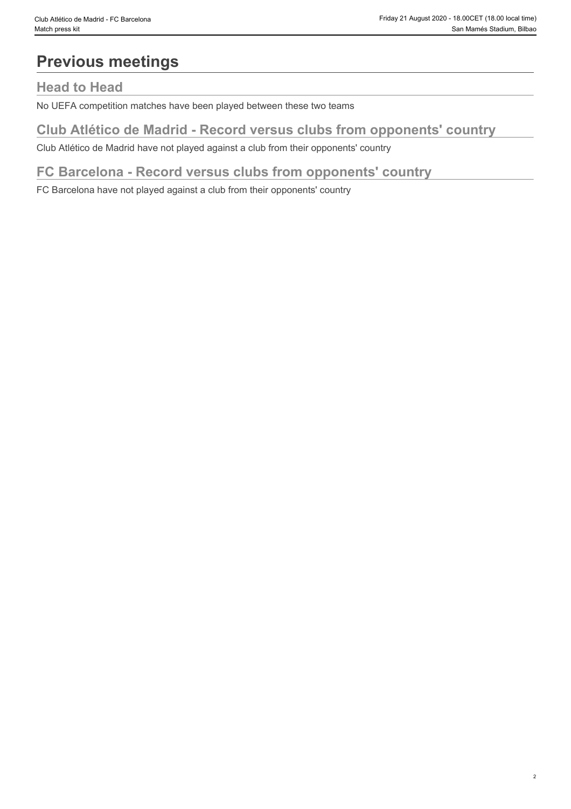## **Previous meetings**

#### **Head to Head**

No UEFA competition matches have been played between these two teams

### **Club Atlético de Madrid - Record versus clubs from opponents' country**

Club Atlético de Madrid have not played against a club from their opponents' country

#### **FC Barcelona - Record versus clubs from opponents' country**

FC Barcelona have not played against a club from their opponents' country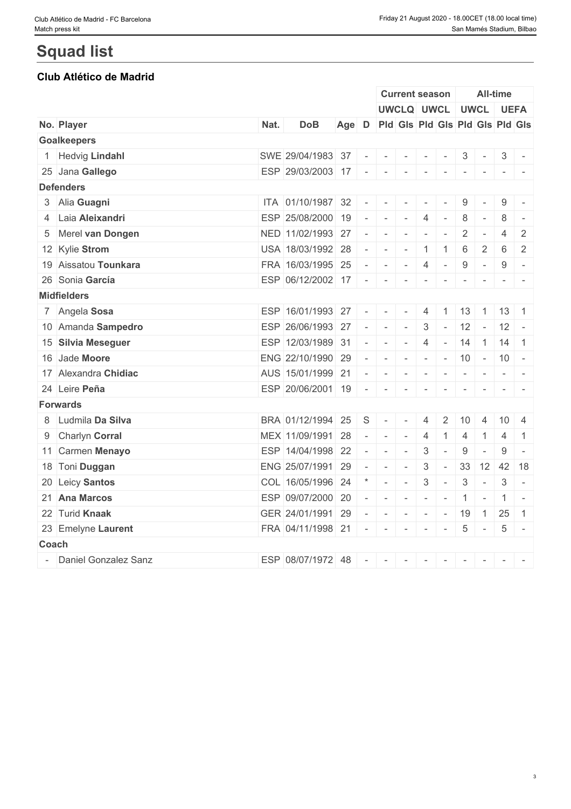#### **Club Atlético de Madrid**

|                 |                        |      |                         |                                       |                                                                                                |                 | <b>Current season</b>         |                |                          |                          |                          | All-time           |                                                                                                 |
|-----------------|------------------------|------|-------------------------|---------------------------------------|------------------------------------------------------------------------------------------------|-----------------|-------------------------------|----------------|--------------------------|--------------------------|--------------------------|--------------------|-------------------------------------------------------------------------------------------------|
|                 |                        |      |                         |                                       |                                                                                                |                 | UWCLQ UWCL UWCL UEFA          |                |                          |                          |                          |                    |                                                                                                 |
|                 | No. Player             | Nat. | <b>DoB</b>              | Age D Pld Gls Pld Gls Pld Gls Pld Gls |                                                                                                |                 |                               |                |                          |                          |                          |                    |                                                                                                 |
|                 | <b>Goalkeepers</b>     |      |                         |                                       |                                                                                                |                 |                               |                |                          |                          |                          |                    |                                                                                                 |
| $\mathbf{1}$    | <b>Hedvig Lindahl</b>  |      | SWE 29/04/1983 37 - -   |                                       |                                                                                                |                 | $\sim$                        | $\sim$         | $\sim$                   | 3                        | $\sim$                   | 3                  | $\overline{\phantom{a}}$                                                                        |
|                 | 25 Jana Gallego        |      | ESP 29/03/2003 17 -     |                                       |                                                                                                | $1 - 1 - 1 = 1$ |                               | $\sim$         | $\sim$                   | $\overline{\phantom{a}}$ | $\sim$                   |                    |                                                                                                 |
|                 | <b>Defenders</b>       |      |                         |                                       |                                                                                                |                 |                               |                |                          |                          |                          |                    |                                                                                                 |
|                 | 3 Alia Guagni          |      | ITA 01/10/1987 32       |                                       | $\sim$                                                                                         | $\sim$          | $\sim$                        |                |                          | 9                        |                          | 9                  | $\overline{\phantom{a}}$                                                                        |
|                 | 4 Laia Aleixandri      |      | ESP 25/08/2000 19       |                                       | $\sim$                                                                                         | $\mathbf{r}$    | $\sim$                        | $\overline{4}$ | $\sim$                   | 8                        | $\sim$                   | 8                  | $\sim$                                                                                          |
|                 | 5 Merel van Dongen     |      | NED 11/02/1993 27       |                                       | $\sim$                                                                                         | $\sim$          | $\sim$                        |                | $\sim$                   | 2                        | $\sim$                   | $\overline{4}$     | $\overline{2}$                                                                                  |
|                 | 12 Kylie Strom         |      | USA 18/03/1992 28       |                                       | $\sim$                                                                                         | $\sim$          | $\sim$                        | $\overline{1}$ | -1                       | 6                        | 2                        | 6                  | 2                                                                                               |
|                 | 19 Aissatou Tounkara   |      | FRA 16/03/1995 25       |                                       | $\sim$ 100 $\sim$                                                                              |                 | $\mathbf{1}$                  | 4              | $\sim$                   | 9                        | $\sim$                   | 9                  | $\overline{\phantom{a}}$                                                                        |
|                 | 26 Sonia García        |      | ESP 06/12/2002 17       |                                       | $\sim$                                                                                         | $\sim$ $-$      | $\sim$                        | $\sim$         | $\sim$                   | $\overline{\phantom{a}}$ | $\sim$                   |                    | $\frac{1}{2} \left( \frac{1}{2} \right) = \frac{1}{2} \left( \frac{1}{2} \right) = \frac{1}{2}$ |
|                 | <b>Midfielders</b>     |      |                         |                                       |                                                                                                |                 |                               |                |                          |                          |                          |                    |                                                                                                 |
|                 | 7 Angela Sosa          |      | ESP 16/01/1993 27       |                                       | $\sim$                                                                                         | $\sim$          | $\sim$                        | 4              | $\overline{1}$           |                          | $13 \mid 1 \mid$         | $13 \mid 1$        |                                                                                                 |
|                 | 10 Amanda Sampedro     |      | ESP 26/06/1993 27       |                                       | $\frac{1}{2} \left( \frac{1}{2} \right) \left( \frac{1}{2} \right) \left( \frac{1}{2} \right)$ |                 | $\mathbf{I}$                  | 3              | $\sim$                   |                          |                          | $12 - 12 -$        |                                                                                                 |
|                 | 15 Silvia Meseguer     |      | ESP 12/03/1989 31       |                                       | $\sim$                                                                                         | $\sim$          | $\sim$                        | $\overline{4}$ | $\overline{\phantom{a}}$ | 14                       |                          | $1 \mid 14 \mid 1$ |                                                                                                 |
|                 | 16 Jade Moore          |      | ENG 22/10/1990 29       |                                       | $\sim$                                                                                         | $\sim$          | $1 - 1 - 1 = 1$               |                |                          |                          |                          | $-$ 10 $-$ 10 $-$  |                                                                                                 |
|                 | 17 Alexandra Chidiac   |      | AUS 15/01/1999 21       |                                       | $\sim$                                                                                         | $\sim$          | $\sim$                        | $\sim$         | $\sim$                   | $\sim$                   | $\sim$                   |                    | $\frac{1}{2} \left( \frac{1}{2} \right) \left( \frac{1}{2} \right) = \frac{1}{2}$               |
|                 | 24 Leire Peña          |      | ESP $20/06/2001$ 19 - - |                                       |                                                                                                |                 | $\sim$                        | $\sim$         | $\sim$                   | $\sim$                   | $\sim$                   |                    |                                                                                                 |
| <b>Forwards</b> |                        |      |                         |                                       |                                                                                                |                 |                               |                |                          |                          |                          |                    |                                                                                                 |
|                 | 8 Ludmila Da Silva     |      | BRA 01/12/1994          | 25                                    | S                                                                                              | $\sim$          | $\overline{\phantom{a}}$      | 4              | 2                        | 10                       | $\overline{4}$           | $10 \mid 4$        |                                                                                                 |
|                 | 9 Charlyn Corral       |      | MEX 11/09/1991 28       |                                       | $\sim$                                                                                         | $\mathbf{r}$    | $\sim$                        | $\overline{4}$ | $\overline{1}$           | $\overline{4}$           | $\overline{1}$           | 4                  | $\overline{1}$                                                                                  |
|                 | 11 Carmen Menayo       |      | ESP 14/04/1998 22       |                                       | $\sim$                                                                                         | $\sim$          | $\sim$                        | $\mathbf{3}$   | $\sim$                   | 9                        | $\overline{\phantom{a}}$ | 9                  | $\sim$                                                                                          |
|                 | 18 Toni Duggan         |      | ENG 25/07/1991 29       |                                       | $\sim$                                                                                         | $\sim$          | $\sim$                        | $\mathbf{3}$   | $\sim$                   |                          |                          | 33 12 42 18        |                                                                                                 |
|                 | 20 Leicy Santos        |      | COL 16/05/1996 24       |                                       |                                                                                                | $\sim$ $-$      | $\sim$                        | $\sqrt{3}$     | $\omega$                 | $\mathbf{3}$             | $\sim$                   | 3                  | $\overline{\phantom{a}}$                                                                        |
|                 | 21 Ana Marcos          |      | ESP 09/07/2000 20       |                                       | $\sim$                                                                                         |                 | $ 1 - 1  +  1 - 1  +  1 - 1 $ |                | $\sim$                   | $1 -$                    |                          |                    | $1 -$                                                                                           |
|                 | 22 Turid Knaak         |      | GER 24/01/1991 29       |                                       |                                                                                                |                 | .                             |                |                          | 19                       | $\overline{1}$           | 25                 | $\overline{1}$                                                                                  |
|                 | 23 Emelyne Laurent     |      | FRA 04/11/1998 21       |                                       |                                                                                                |                 | 1949 - 1949 - 1949            |                | $\mathbf{1}$             |                          | $5 -$                    | 5 <sup>5</sup>     | $\sim$                                                                                          |
| Coach           |                        |      |                         |                                       |                                                                                                |                 |                               |                |                          |                          |                          |                    |                                                                                                 |
|                 | - Daniel Gonzalez Sanz |      | ESP 08/07/1972 48       |                                       | $\sim$ $\sim$ $\sim$                                                                           |                 | $\sim$                        | $\sim$         | $\sim$                   | $\sim$                   | $\sim$                   | $\sim 10$          |                                                                                                 |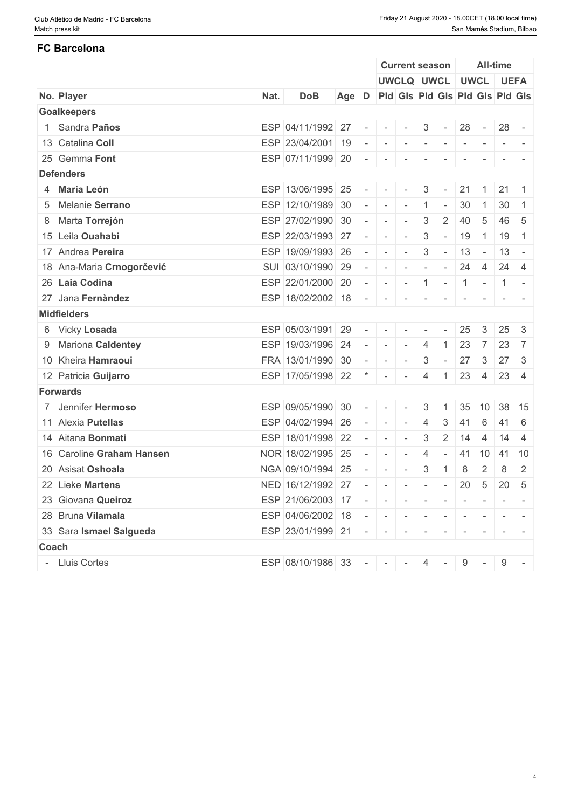# **FC Barcelona**

|                           |      |                                           |                                       |                          |                          | <b>Current season</b>    |                          |                          |                          |                | <b>All-time</b> |                 |
|---------------------------|------|-------------------------------------------|---------------------------------------|--------------------------|--------------------------|--------------------------|--------------------------|--------------------------|--------------------------|----------------|-----------------|-----------------|
|                           |      |                                           |                                       |                          |                          | UWCLQ UWCL UWCL UEFA     |                          |                          |                          |                |                 |                 |
| No. Player                | Nat. | <b>DoB</b>                                | Age D Pld Gis Pld Gis Pld Gis Pld Gis |                          |                          |                          |                          |                          |                          |                |                 |                 |
| <b>Goalkeepers</b>        |      |                                           |                                       |                          |                          |                          |                          |                          |                          |                |                 |                 |
| 1 Sandra Paños            |      | ESP 04/11/1992 27                         |                                       | $\sim$                   | $\mathbf{r}$             | $\mathbf{r}$             | $\mathbf{3}$             | $\sim$ $ \sim$           | 28                       | $\sim$ $ \sim$ |                 | $28 -$          |
| 13 Catalina Coll          |      | ESP 23/04/2001 19                         |                                       |                          | $\sim$                   | $\sim$                   | $\overline{\phantom{a}}$ | $\sim$                   | $\overline{\phantom{a}}$ | $\sim$         |                 |                 |
| 25 Gemma Font             |      | ESP 07/11/1999 20                         |                                       | $\sim$                   | $\sim$                   | $\sim$                   | $\sim$                   | $\overline{\phantom{a}}$ | $\overline{\phantom{a}}$ | $\sim$         | $-$             |                 |
| <b>Defenders</b>          |      |                                           |                                       |                          |                          |                          |                          |                          |                          |                |                 |                 |
| 4 María León              |      | ESP 13/06/1995 25                         |                                       | $\overline{\phantom{a}}$ | $\overline{\phantom{a}}$ | $\sim$                   | 3                        | $\sim$                   | 21                       | $\overline{1}$ |                 | $21 \mid 1$     |
| 5 Melanie Serrano         |      | ESP 12/10/1989                            | 30                                    | $\sim$                   | $\sim$                   | $\sim$                   |                          | $\overline{\phantom{a}}$ | 30                       | -1             | 30              | -1              |
| 8 Marta Torrejón          |      | ESP 27/02/1990 30                         |                                       | $\sim$                   | $\sim$                   | $\overline{\phantom{a}}$ | 3                        | 2                        | 40                       | 5              |                 | $46 \mid 5$     |
| 15 Leila Ouahabi          |      | ESP 22/03/1993 27                         |                                       | $\overline{\phantom{a}}$ | $\sim$                   | $\sim$                   | 3                        | $\sim$                   | 19                       | $-1$           | 19              | $\overline{1}$  |
| 17 Andrea Pereira         |      | ESP 19/09/1993 26                         |                                       | $\overline{\phantom{a}}$ | $\sim$                   | $\overline{\phantom{a}}$ | 3                        | $\sim$                   | 13                       | $\sim$         |                 | $13 -$          |
| 18 Ana-Maria Crnogorčević |      | SUI 03/10/1990 29                         |                                       | $\sim$                   | $\sim$                   | $\overline{\phantom{a}}$ | $\sim$                   | $\sim$                   | 24                       | $\overline{4}$ |                 | $24 \mid 4$     |
| 26 Laia Codina            |      | ESP 22/01/2000 20                         |                                       | $\sim$                   |                          | $ - - 1  -  1  -  1  -$  |                          |                          |                          |                |                 |                 |
| 27 Jana Fernàndez         |      | ESP 18/02/2002 18                         |                                       | $\sim$                   | $\sim$                   | $\overline{\phantom{a}}$ |                          |                          | $\overline{\phantom{a}}$ |                |                 |                 |
| <b>Midfielders</b>        |      |                                           |                                       |                          |                          |                          |                          |                          |                          |                |                 |                 |
| 6 Vicky Losada            |      | ESP 05/03/1991 29                         |                                       | $\sim$                   | $\sim$                   | $\mathbf{I}$             | $\overline{\phantom{a}}$ |                          | 25                       | $\mathbf{3}$   |                 | $25 \quad 3$    |
| 9 Mariona Caldentey       |      | ESP 19/03/1996 24                         |                                       |                          | $\sim$                   | $\sim$                   | $\overline{4}$           |                          | 23                       | $\overline{7}$ | 23              | 7               |
| 10 Kheira Hamraoui        |      | FRA 13/01/1990 30                         |                                       | $\equiv$                 | $\overline{\phantom{a}}$ | $\overline{\phantom{a}}$ | 3                        | $\sim$                   | 27                       | $\mathbf{3}$   | 27              | -3              |
| 12 Patricia Guijarro      |      | ESP 17/05/1998 22                         |                                       |                          | $\sim$                   | $\overline{\phantom{a}}$ | 4                        | $\overline{1}$           | 23                       | $\overline{4}$ |                 | $23 \mid 4$     |
| <b>Forwards</b>           |      |                                           |                                       |                          |                          |                          |                          |                          |                          |                |                 |                 |
| 7 Jennifer Hermoso        |      | ESP 09/05/1990                            | 30                                    | $\sim$                   |                          | $\overline{a}$           | 3                        |                          | 35                       | 10             |                 | 38 15           |
| 11 Alexia Putellas        |      | ESP 04/02/1994 26                         |                                       | $\sim$                   | $\sim$                   | $\overline{\phantom{a}}$ | 4                        | 3                        | 41                       | 6              | 41              | 6               |
| 14 Aitana Bonmati         |      | ESP 18/01/1998 22                         |                                       |                          | $\overline{\phantom{a}}$ | $\overline{\phantom{a}}$ | 3                        | 2                        | 14                       | $\overline{4}$ | 14              | -4              |
| 16 Caroline Graham Hansen |      | NOR 18/02/1995                            | 25                                    | $\overline{\phantom{a}}$ |                          | $\overline{\phantom{a}}$ | $\overline{4}$           |                          | -41                      | 10             |                 | $41 \mid 10$    |
| 20 Asisat Oshoala         |      | NGA 09/10/1994                            | 25                                    | $\overline{\phantom{a}}$ | $\sim$                   | $\overline{\phantom{a}}$ | 3                        | $\overline{1}$           | 8                        | 2              | 8               | 2               |
| 22 Lieke Martens          |      | NED 16/12/1992 27                         |                                       | $\overline{\phantom{a}}$ | $\sim$                   | $\sim$                   | $\sim$                   | $\sim$                   | 20                       | $-5$           | 20              | $5\overline{)}$ |
| 23 Giovana Queiroz        |      | ESP 21/06/2003 17 - - - - - - - - -       |                                       |                          |                          |                          |                          |                          |                          |                |                 |                 |
| 28 Bruna Vilamala         |      | ESP 04/06/2002 18 - - - - - - - - - - - - |                                       |                          |                          |                          |                          |                          |                          |                |                 |                 |
| 33 Sara Ismael Salgueda   |      | ESP 23/01/1999 21 - - - - - - - - - -     |                                       |                          |                          |                          |                          |                          |                          |                |                 |                 |
| Coach                     |      |                                           |                                       |                          |                          |                          |                          |                          |                          |                |                 |                 |
| - Lluis Cortes            |      | ESP 08/10/1986 33 - - - 4 - 9 - 9         |                                       |                          |                          |                          |                          |                          |                          |                |                 |                 |
|                           |      |                                           |                                       |                          |                          |                          |                          |                          |                          |                |                 |                 |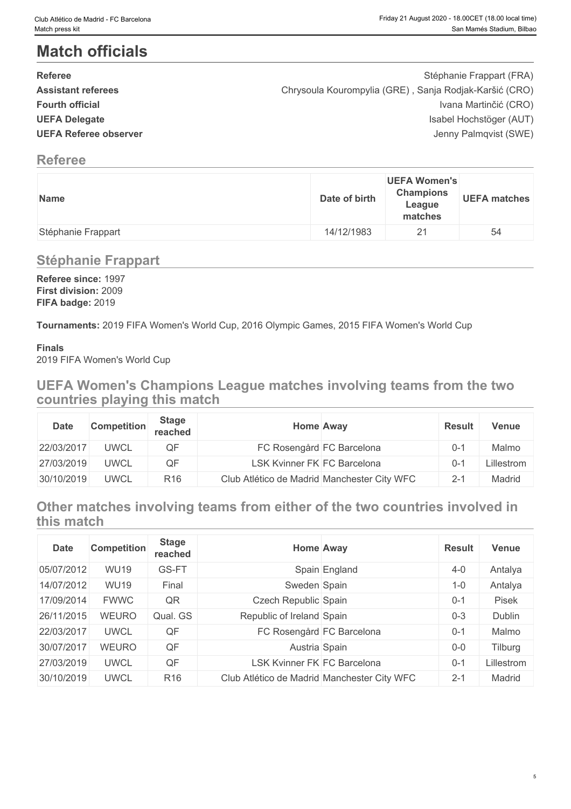### **Match officials**

| <b>Referee</b>               | Stéphanie Frappart (FRA)                               |
|------------------------------|--------------------------------------------------------|
| <b>Assistant referees</b>    | Chrysoula Kourompylia (GRE), Sanja Rodjak-Karšić (CRO) |
| <b>Fourth official</b>       | Ivana Martinčić (CRO)                                  |
| <b>UEFA Delegate</b>         | Isabel Hochstöger (AUT)                                |
| <b>UEFA Referee observer</b> | Jenny Palmqvist (SWE)                                  |
|                              |                                                        |

#### **Referee**

| Name               | Date of birth | <b>UEFA Women's</b><br><b>Champions</b><br>League<br>matches | <b>UEFA matches</b> |
|--------------------|---------------|--------------------------------------------------------------|---------------------|
| Stéphanie Frappart | 14/12/1983    | 21                                                           | 54                  |

#### **Stéphanie Frappart**

**Referee since:** 1997 **First division:** 2009 **FIFA badge:** 2019

**Tournaments:** 2019 FIFA Women's World Cup, 2016 Olympic Games, 2015 FIFA Women's World Cup

#### **Finals**

2019 FIFA Women's World Cup

**UEFA Women's Champions League matches involving teams from the two countries playing this match**

| <b>Date</b> | <b>Competition</b> | <b>Stage</b><br>reached |                                    | <b>Home Away</b>                            | <b>Result</b> | <b>Venue</b> |
|-------------|--------------------|-------------------------|------------------------------------|---------------------------------------------|---------------|--------------|
| 22/03/2017  | <b>UWCL</b>        | QF                      |                                    | FC Rosengård FC Barcelona                   | $0 - 1$       | Malmo        |
| 27/03/2019  | <b>UWCL</b>        | QF                      | <b>LSK Kvinner FK FC Barcelona</b> |                                             | 0-.           | Lillestrom   |
| 30/10/2019  | <b>UWCL</b>        | R <sub>16</sub>         |                                    | Club Atlético de Madrid Manchester City WFC | $2-1$         | Madrid       |

**Other matches involving teams from either of the two countries involved in this match**

| <b>Date</b> | <b>Competition</b> | <b>Stage</b><br>reached |                                    | <b>Home Away</b>                            | <b>Result</b> | <b>Venue</b> |
|-------------|--------------------|-------------------------|------------------------------------|---------------------------------------------|---------------|--------------|
| 05/07/2012  | <b>WU19</b>        | GS-FT                   |                                    | Spain England                               | $4 - 0$       | Antalya      |
| 14/07/2012  | <b>WU19</b>        | Final                   | Sweden Spain                       |                                             | $1 - 0$       | Antalya      |
| 17/09/2014  | <b>FWWC</b>        | QR                      | Czech Republic Spain               |                                             | $0 - 1$       | Pisek        |
| 26/11/2015  | <b>WEURO</b>       | Qual. GS                | Republic of Ireland Spain          |                                             | $0 - 3$       | Dublin       |
| 22/03/2017  | <b>UWCL</b>        | QF                      |                                    | FC Rosengård FC Barcelona                   | $0 - 1$       | Malmo        |
| 30/07/2017  | <b>WEURO</b>       | QF                      | Austria Spain                      |                                             | $0 - 0$       | Tilburg      |
| 27/03/2019  | <b>UWCL</b>        | QF                      | <b>LSK Kvinner FK FC Barcelona</b> |                                             | $0 - 1$       | Lillestrom   |
| 30/10/2019  | <b>UWCL</b>        | R <sub>16</sub>         |                                    | Club Atlético de Madrid Manchester City WFC | $2 - 1$       | Madrid       |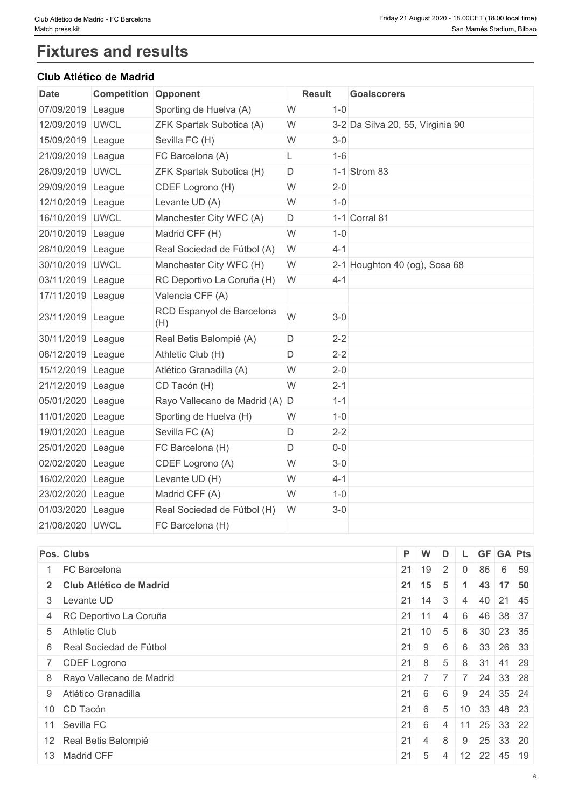## **Fixtures and results**

#### **Club Atlético de Madrid**

| <b>Date</b>       | <b>Competition Opponent</b> |                                  | <b>Result</b>                         |  |
|-------------------|-----------------------------|----------------------------------|---------------------------------------|--|
| 07/09/2019 League |                             | Sporting de Huelva (A)           | $1 - 0$<br>W                          |  |
| 12/09/2019 UWCL   |                             | ZFK Spartak Subotica (A)         | 3-2 Da Silva 20, 55, Virginia 90<br>W |  |
| 15/09/2019 League |                             | Sevilla FC (H)                   | W<br>$3-0$                            |  |
| 21/09/2019 League |                             | FC Barcelona (A)                 | $1 - 6$<br>L                          |  |
| 26/09/2019 UWCL   |                             | <b>ZFK Spartak Subotica (H)</b>  | 1-1 Strom 83<br>D                     |  |
| 29/09/2019 League |                             | CDEF Logrono (H)                 | $2 - 0$<br>W                          |  |
| 12/10/2019 League |                             | Levante UD (A)                   | $1 - 0$<br>W                          |  |
| 16/10/2019 UWCL   |                             | Manchester City WFC (A)          | 1-1 Corral 81<br>D                    |  |
| 20/10/2019 League |                             | Madrid CFF (H)                   | $1 - 0$<br>W                          |  |
| 26/10/2019 League |                             | Real Sociedad de Fútbol (A)      | W<br>$4 - 1$                          |  |
| 30/10/2019 UWCL   |                             | Manchester City WFC (H)          | 2-1 Houghton 40 (og), Sosa 68<br>W    |  |
| 03/11/2019 League |                             | RC Deportivo La Coruña (H)       | W<br>$4 - 1$                          |  |
| 17/11/2019 League |                             | Valencia CFF (A)                 |                                       |  |
| 23/11/2019 League |                             | RCD Espanyol de Barcelona<br>(H) | W<br>$3-0$                            |  |
| 30/11/2019 League |                             | Real Betis Balompié (A)          | $2 - 2$<br>D                          |  |
| 08/12/2019 League |                             | Athletic Club (H)                | $2 - 2$<br>D                          |  |
| 15/12/2019 League |                             | Atlético Granadilla (A)          | W<br>$2 - 0$                          |  |
| 21/12/2019 League |                             | CD Tacón (H)                     | W<br>$2 - 1$                          |  |
| 05/01/2020 League |                             | Rayo Vallecano de Madrid (A) D   | $1 - 1$                               |  |
| 11/01/2020 League |                             | Sporting de Huelva (H)           | W<br>$1 - 0$                          |  |
| 19/01/2020 League |                             | Sevilla FC (A)                   | D<br>$2 - 2$                          |  |
| 25/01/2020 League |                             | FC Barcelona (H)                 | D<br>$0-0$                            |  |
| 02/02/2020 League |                             | CDEF Logrono (A)                 | $3-0$<br>W                            |  |
| 16/02/2020 League |                             | Levante UD (H)                   | W<br>$4 - 1$                          |  |
| 23/02/2020 League |                             | Madrid CFF (A)                   | W<br>$1 - 0$                          |  |
| 01/03/2020 League |                             | Real Sociedad de Fútbol (H)      | W<br>$3-0$                            |  |
| 21/08/2020 UWCL   |                             | FC Barcelona (H)                 |                                       |  |

| Pos. Clubs                 | P W          |                      | D              |  | L GF GA Pts                                        |
|----------------------------|--------------|----------------------|----------------|--|----------------------------------------------------|
| <b>FC</b> Barcelona        | $21 \mid 19$ |                      |                |  | 2 0 86 6 59                                        |
| 2 Club Atlético de Madrid  |              | $21 \mid 15 \mid 5$  |                |  | $1 \t 43 \t 17 \t 50$                              |
| 3 Levante UD               |              | $21 \mid 14 \mid 3$  |                |  | 4 40 21 45                                         |
| 4 RC Deportivo La Coruña   | $21 \mid 11$ |                      | $\vert$ 4      |  | 6 46 38 37                                         |
| 5 Athletic Club            |              |                      |                |  | $21 \mid 10 \mid 5 \mid 6 \mid 30 \mid 23 \mid 35$ |
| 6 Real Sociedad de Fútbol  |              | $21 \quad 9 \quad 6$ |                |  | 6 33 26 33                                         |
| 7 CDEF Logrono             |              | $21 \quad 8$         | 5              |  | 8 31 41 29                                         |
| 8 Rayo Vallecano de Madrid |              |                      |                |  | 21 7 7 7 24 33 28                                  |
| 9 Atlético Granadilla      |              | $21 \quad 6 \quad 6$ |                |  | $9 \mid 24 \mid 35 \mid 24$                        |
| 10 CD Tacón                |              | $21 \quad 6$         | 5 <sup>5</sup> |  | $10 \mid 33 \mid 48 \mid 23$                       |
| 11 Sevilla FC              |              | $21 \quad 6$         | 4              |  | 11 25 33 22                                        |
| 12 Real Betis Balompié     |              | $21 \quad 4 \quad 8$ |                |  | $9 \mid 25 \mid 33 \mid 20$                        |
| 13 Madrid CFF              |              | $21 \quad 5$         | $\overline{4}$ |  | 12 22 45 19                                        |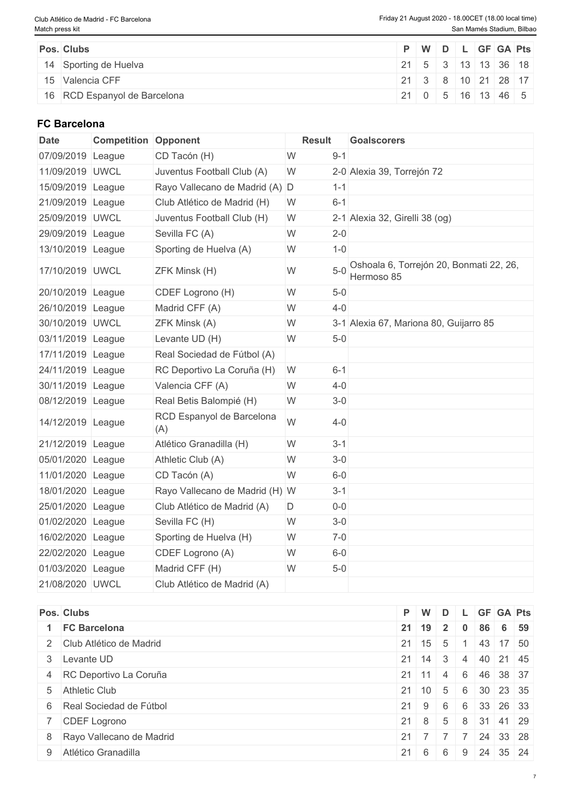| <b>Pos. Clubs</b>            |                          |  |  | P   W   D   L   GF   GA   Pts |  |
|------------------------------|--------------------------|--|--|-------------------------------|--|
| 14 Sporting de Huelva        | 21 5 3 13 13 36 18       |  |  |                               |  |
| 15 Valencia CFF              | 21 3 8 10 21 28 17       |  |  |                               |  |
| 16 RCD Espanyol de Barcelona | $ 21 $ 0 $ 5 16 13 46 5$ |  |  |                               |  |

#### **FC Barcelona**

| <b>Date</b>       | <b>Competition Opponent</b> |                                  | <b>Result</b> |         | <b>Goalscorers</b>                                    |
|-------------------|-----------------------------|----------------------------------|---------------|---------|-------------------------------------------------------|
| 07/09/2019 League |                             | CD Tacón (H)                     | W             | $9 - 1$ |                                                       |
| 11/09/2019 UWCL   |                             | Juventus Football Club (A)       | W             |         | 2-0 Alexia 39, Torrejón 72                            |
| 15/09/2019 League |                             | Rayo Vallecano de Madrid (A) D   |               | $1 - 1$ |                                                       |
| 21/09/2019 League |                             | Club Atlético de Madrid (H)      | W             | $6 - 1$ |                                                       |
| 25/09/2019 UWCL   |                             | Juventus Football Club (H)       | W             |         | 2-1 Alexia 32, Girelli 38 (og)                        |
| 29/09/2019 League |                             | Sevilla FC (A)                   | W             | $2 - 0$ |                                                       |
| 13/10/2019 League |                             | Sporting de Huelva (A)           | W             | $1 - 0$ |                                                       |
| 17/10/2019 UWCL   |                             | ZFK Minsk (H)                    | W             | $5 - 0$ | Oshoala 6, Torrejón 20, Bonmati 22, 26,<br>Hermoso 85 |
| 20/10/2019 League |                             | CDEF Logrono (H)                 | W             | $5-0$   |                                                       |
| 26/10/2019 League |                             | Madrid CFF (A)                   | W             | $4 - 0$ |                                                       |
| 30/10/2019 UWCL   |                             | ZFK Minsk (A)                    | W             |         | 3-1 Alexia 67, Mariona 80, Guijarro 85                |
| 03/11/2019 League |                             | Levante UD (H)                   | W             | $5-0$   |                                                       |
| 17/11/2019 League |                             | Real Sociedad de Fútbol (A)      |               |         |                                                       |
| 24/11/2019 League |                             | RC Deportivo La Coruña (H)       | W             | $6 - 1$ |                                                       |
| 30/11/2019 League |                             | Valencia CFF (A)                 | W             | $4 - 0$ |                                                       |
| 08/12/2019 League |                             | Real Betis Balompié (H)          | W             | $3-0$   |                                                       |
| 14/12/2019 League |                             | RCD Espanyol de Barcelona<br>(A) | W             | $4 - 0$ |                                                       |
| 21/12/2019 League |                             | Atlético Granadilla (H)          | W             | $3 - 1$ |                                                       |
| 05/01/2020 League |                             | Athletic Club (A)                | W             | $3-0$   |                                                       |
| 11/01/2020 League |                             | CD Tacón (A)                     | W             | $6-0$   |                                                       |
| 18/01/2020 League |                             | Rayo Vallecano de Madrid (H) W   |               | $3 - 1$ |                                                       |
| 25/01/2020 League |                             | Club Atlético de Madrid (A)      | D             | $0-0$   |                                                       |
| 01/02/2020 League |                             | Sevilla FC (H)                   | W             | $3-0$   |                                                       |
| 16/02/2020 League |                             | Sporting de Huelva (H)           | W             | $7-0$   |                                                       |
| 22/02/2020 League |                             | CDEF Logrono (A)                 | W             | $6-0$   |                                                       |
| 01/03/2020 League |                             | Madrid CFF (H)                   | W             | $5-0$   |                                                       |
| 21/08/2020 UWCL   |                             | Club Atlético de Madrid (A)      |               |         |                                                       |

| Pos. Clubs                 |              | $P$ W               |    |                |    |                             | D L GF GA Pts |
|----------------------------|--------------|---------------------|----|----------------|----|-----------------------------|---------------|
| <b>FC Barcelona</b>        |              | $21 \mid 19 \mid 2$ |    | $\mathbf{0}$   | 86 | 6 59                        |               |
| 2 Club Atlético de Madrid  |              | $21 \mid 15 \mid 5$ |    |                |    | 43 17 50                    |               |
| 3 Levante UD               |              | $21 \mid 14 \mid 3$ |    |                |    | 4 40 21 45                  |               |
| 4 RC Deportivo La Coruña   | $21 \mid 11$ |                     | -4 | 6              |    | 46 38 37                    |               |
| 5 Athletic Club            |              | $21 \mid 10 \mid 5$ |    |                |    |                             | 6 30 23 35    |
| 6 Real Sociedad de Fútbol  |              | $21 \mid 9 \mid 6$  |    |                |    | 6 33 26 33                  |               |
| 7 CDEF Logrono             |              | $21 \quad 8$        | 5  |                |    | 8 31 41 29                  |               |
| 8 Rayo Vallecano de Madrid |              | $21 \mid 7 \mid 7$  |    | $\overline{7}$ |    | $7 \mid 24 \mid 33 \mid 28$ |               |
| 9 Atlético Granadilla      |              | $21 \t6 \t6$        |    |                |    | $9 \mid 24 \mid 35 \mid 24$ |               |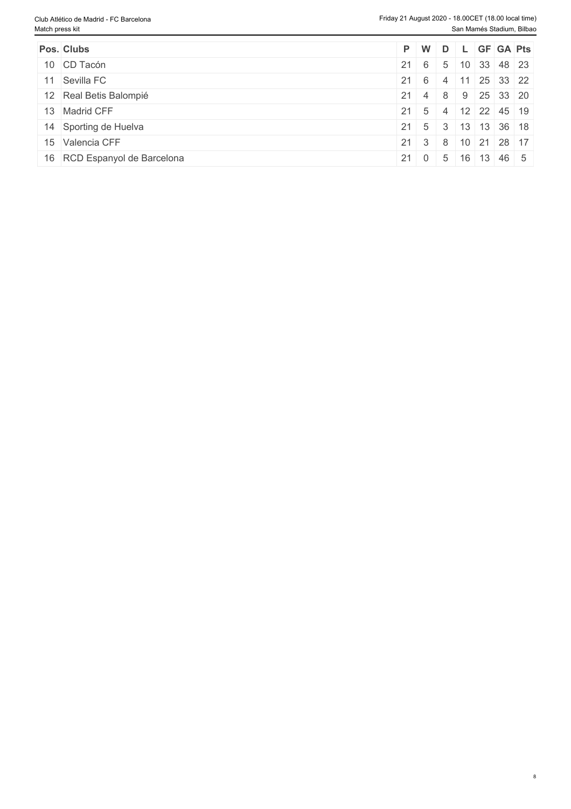| Pos. Clubs                   |  |  | P W D L GF GA Pts                                  |  |
|------------------------------|--|--|----------------------------------------------------|--|
| 10 CD Tacón                  |  |  | $21 \t6 \t5 \t10 \t33 \t48 \t23$                   |  |
| 11 Sevilla FC                |  |  | 21  6   4   11   25   33   22                      |  |
| 12 Real Betis Balompié       |  |  | 21 4 8 9 25 33 20                                  |  |
| 13 Madrid CFF                |  |  | 21 5 4 12 22 45 19                                 |  |
| 14 Sporting de Huelva        |  |  | $21 \mid 5 \mid 3 \mid 13 \mid 13 \mid 36 \mid 18$ |  |
| 15 Valencia CFF              |  |  | 21 3 8 10 21 28 17                                 |  |
| 16 RCD Espanyol de Barcelona |  |  | $21 \mid 0 \mid 5 \mid 16 \mid 13 \mid 46 \mid 5$  |  |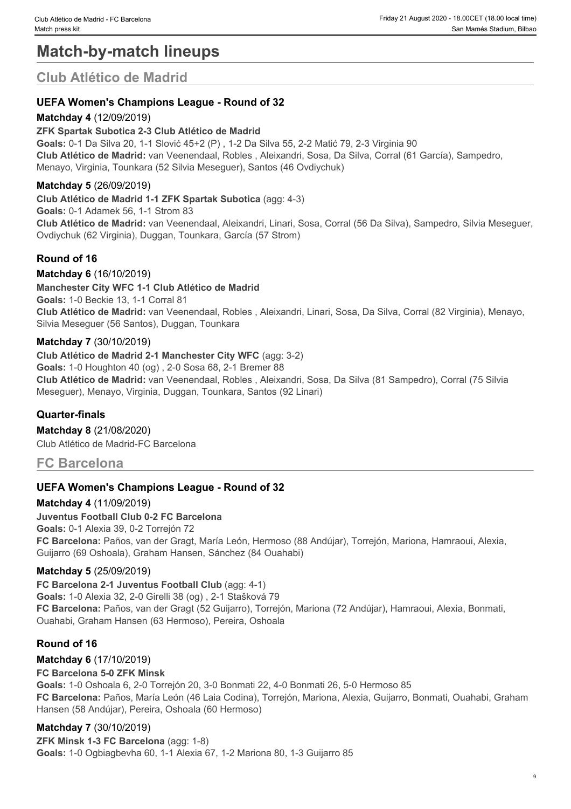## **Match-by-match lineups**

### **Club Atlético de Madrid**

#### **UEFA Women's Champions League - Round of 32**

#### **Matchday 4** (12/09/2019)

#### **ZFK Spartak Subotica 2-3 Club Atlético de Madrid**

**Goals:** 0-1 Da Silva 20, 1-1 Slović 45+2 (P) , 1-2 Da Silva 55, 2-2 Matić 79, 2-3 Virginia 90 **Club Atlético de Madrid:** van Veenendaal, Robles , Aleixandri, Sosa, Da Silva, Corral (61 García), Sampedro, Menayo, Virginia, Tounkara (52 Silvia Meseguer), Santos (46 Ovdiychuk)

#### **Matchday 5** (26/09/2019)

**Club Atlético de Madrid 1-1 ZFK Spartak Subotica** (agg: 4-3) **Goals:** 0-1 Adamek 56, 1-1 Strom 83 **Club Atlético de Madrid:** van Veenendaal, Aleixandri, Linari, Sosa, Corral (56 Da Silva), Sampedro, Silvia Meseguer, Ovdiychuk (62 Virginia), Duggan, Tounkara, García (57 Strom)

#### **Round of 16**

#### **Matchday 6** (16/10/2019)

**Manchester City WFC 1-1 Club Atlético de Madrid Goals:** 1-0 Beckie 13, 1-1 Corral 81 **Club Atlético de Madrid:** van Veenendaal, Robles , Aleixandri, Linari, Sosa, Da Silva, Corral (82 Virginia), Menayo, Silvia Meseguer (56 Santos), Duggan, Tounkara

#### **Matchday 7** (30/10/2019)

**Club Atlético de Madrid 2-1 Manchester City WFC** (agg: 3-2) **Goals:** 1-0 Houghton 40 (og) , 2-0 Sosa 68, 2-1 Bremer 88 **Club Atlético de Madrid:** van Veenendaal, Robles , Aleixandri, Sosa, Da Silva (81 Sampedro), Corral (75 Silvia Meseguer), Menayo, Virginia, Duggan, Tounkara, Santos (92 Linari)

#### **Quarter-finals**

**Matchday 8** (21/08/2020)

Club Atlético de Madrid-FC Barcelona

#### **FC Barcelona**

#### **UEFA Women's Champions League - Round of 32**

#### **Matchday 4** (11/09/2019)

#### **Juventus Football Club 0-2 FC Barcelona**

**Goals:** 0-1 Alexia 39, 0-2 Torrejón 72 **FC Barcelona:** Paños, van der Gragt, María León, Hermoso (88 Andújar), Torrejón, Mariona, Hamraoui, Alexia, Guijarro (69 Oshoala), Graham Hansen, Sánchez (84 Ouahabi)

#### **Matchday 5** (25/09/2019)

#### **FC Barcelona 2-1 Juventus Football Club** (agg: 4-1)

**Goals:** 1-0 Alexia 32, 2-0 Girelli 38 (og) , 2-1 Stašková 79 **FC Barcelona:** Paños, van der Gragt (52 Guijarro), Torrejón, Mariona (72 Andújar), Hamraoui, Alexia, Bonmati, Ouahabi, Graham Hansen (63 Hermoso), Pereira, Oshoala

#### **Round of 16**

#### **Matchday 6** (17/10/2019)

#### **FC Barcelona 5-0 ZFK Minsk**

**Goals:** 1-0 Oshoala 6, 2-0 Torrejón 20, 3-0 Bonmati 22, 4-0 Bonmati 26, 5-0 Hermoso 85 **FC Barcelona:** Paños, María León (46 Laia Codina), Torrejón, Mariona, Alexia, Guijarro, Bonmati, Ouahabi, Graham Hansen (58 Andújar), Pereira, Oshoala (60 Hermoso)

#### **Matchday 7** (30/10/2019)

**ZFK Minsk 1-3 FC Barcelona** (agg: 1-8) **Goals:** 1-0 Ogbiagbevha 60, 1-1 Alexia 67, 1-2 Mariona 80, 1-3 Guijarro 85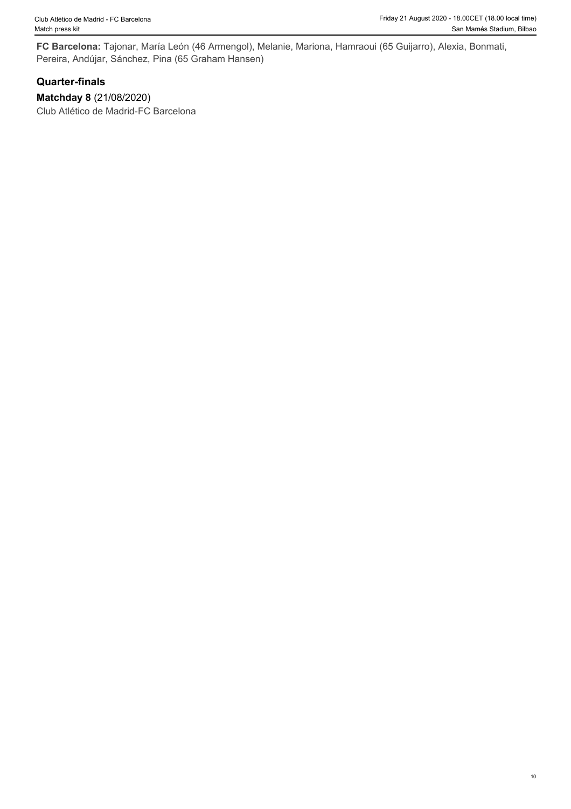**FC Barcelona:** Tajonar, María León (46 Armengol), Melanie, Mariona, Hamraoui (65 Guijarro), Alexia, Bonmati, Pereira, Andújar, Sánchez, Pina (65 Graham Hansen)

#### **Quarter-finals**

**Matchday 8** (21/08/2020) Club Atlético de Madrid-FC Barcelona